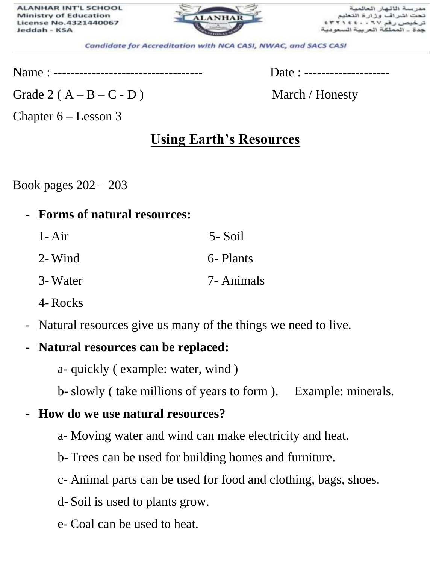

مدرسة اللفهار العالمية تحت اشراف وزارة التعلي ن رقم ∨ ۲۰ ۰ ± ٤ المملكة العرب

Candidate for Accreditation with NCA CASI, NWAC, and SACS CASI

Name : ----------------------------------- Date : --------------------

Grade 2 ( $A - B - C - D$ ) March / Honesty

Chapter 6 – Lesson 3

# **Using Earth's Resources**

Book pages 202 – 203

- **Forms of natural resources:**   $1-Air$  5- Soil  $2$ - Wind 6- Plants 3- Water 7- Animals
	- 4- Rocks
- Natural resources give us many of the things we need to live.

# - **Natural resources can be replaced:**

- a- quickly ( example: water, wind )
- b- slowly ( take millions of years to form ). Example: minerals.

# - **How do we use natural resources?**

- a- Moving water and wind can make electricity and heat.
- b- Trees can be used for building homes and furniture.
- c- Animal parts can be used for food and clothing, bags, shoes.
- d- Soil is used to plants grow.
- e- Coal can be used to heat.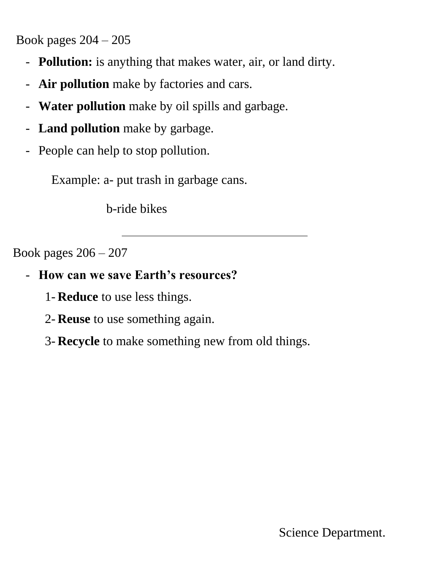Book pages 204 – 205

- **Pollution:** is anything that makes water, air, or land dirty.
- **Air pollution** make by factories and cars.
- **Water pollution** make by oil spills and garbage.
- **Land pollution** make by garbage.
- People can help to stop pollution.

Example: a- put trash in garbage cans.

b-ride bikes

Book pages 206 – 207

- **How can we save Earth's resources?**
	- 1- **Reduce** to use less things.
	- 2- **Reuse** to use something again.
	- 3- **Recycle** to make something new from old things.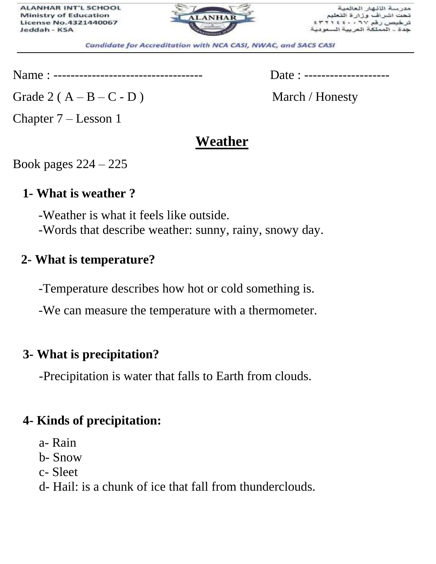

مدرسة الللهار العالمية تحت اشراف وزارة التعليم ، رفع ۲۱ ۰ ۰ ۰ ۱ ؛ ۱ المملكة العربيا

Candidate for Accreditation with NCA CASI, NWAC, and SACS CASI

Name : ----------------------------------- Date : --------------------

Grade 2 ( $A - B - C - D$ ) March / Honesty

Chapter 7 – Lesson 1

# **Weather**

Book pages 224 – 225

#### **1- What is weather ?**

-Weather is what it feels like outside.

-Words that describe weather: sunny, rainy, snowy day.

### **2- What is temperature?**

-Temperature describes how hot or cold something is.

-We can measure the temperature with a thermometer.

### **3- What is precipitation?**

-Precipitation is water that falls to Earth from clouds.

# **4- Kinds of precipitation:**

- a- Rain
- b- Snow
- c- Sleet
- d- Hail: is a chunk of ice that fall from thunderclouds.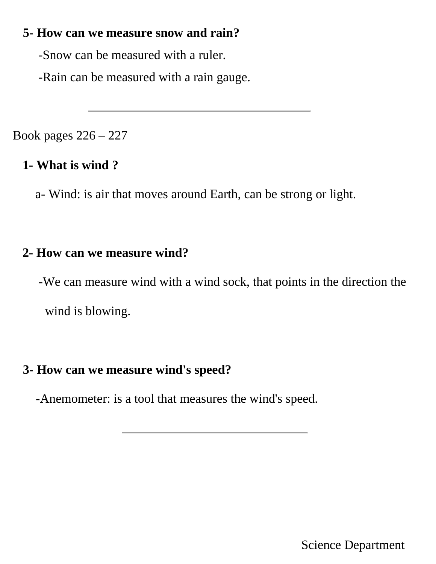## **5- How can we measure snow and rain?**

-Snow can be measured with a ruler.

-Rain can be measured with a rain gauge.

Book pages 226 – 227

# **1- What is wind ?**

a- Wind: is air that moves around Earth, can be strong or light.

# **2- How can we measure wind?**

 -We can measure wind with a wind sock, that points in the direction the wind is blowing.

# **3- How can we measure wind's speed?**

-Anemometer: is a tool that measures the wind's speed.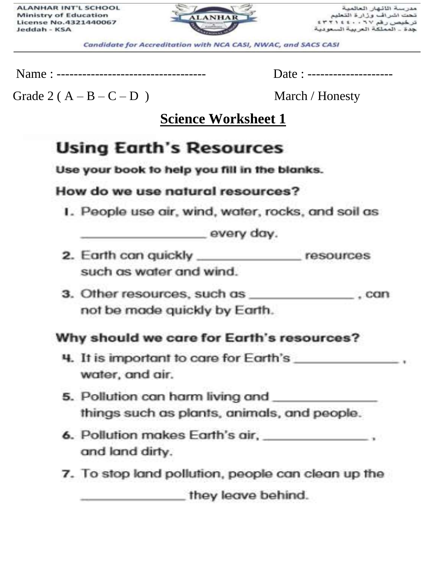

مدرسة الللهار العالمية تحت اشراف وزارة التعليم<br>ترخيص رفم ٢٧٠٠٤ : ٢٣٢١٤٤ حدة \_ المملكة العربية السعودية

Candidate for Accreditation with NCA CASI, NWAC, and SACS CASI

Date : ---------------------

Grade 2 ( $A - B - C - D$ )

March / Honesty

# **Science Worksheet 1**

# **Using Earth's Resources**

Use your book to help you fill in the blanks.

#### How do we use natural resources?

I. People use air, wind, water, rocks, and soil as

every day.

- 2. Earth can quickly \_\_\_\_\_\_\_\_\_\_\_\_\_\_\_\_\_\_\_\_\_ resources such as water and wind.
- 3. Other resources, such as \_\_\_\_\_\_\_\_\_\_\_\_, can not be made quickly by Earth.

#### Why should we care for Earth's resources?

- 4. It is important to care for Earth's water, and air.
- 5. Pollution can harm living and things such as plants, animals, and people.
- and land dirty.
- 7. To stop land pollution, people can clean up the

they leave behind.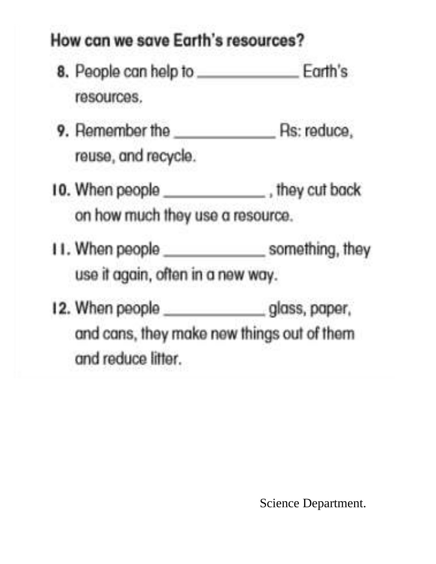# How can we save Earth's resources?

- 8. People can help to \_\_\_\_\_\_\_\_\_\_\_\_\_ Earth's resources.
- reuse, and recycle.
- 10. When people \_\_\_\_\_\_\_\_\_\_\_\_\_\_\_\_, they cut back on how much they use a resource.
- II. When people \_\_\_\_\_\_\_\_\_\_\_\_\_\_\_ something, they use it again, often in a new way.
- 12. When people \_\_\_\_\_\_\_\_\_\_\_\_\_\_\_\_ glass, paper, and cans, they make new things out of them and reduce litter.

Science Department.